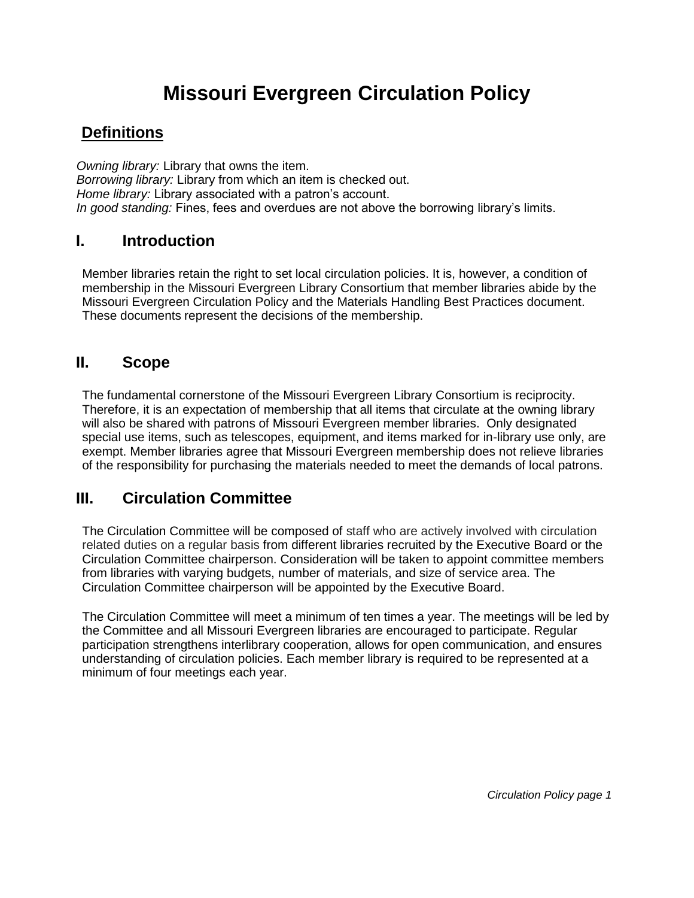# **Missouri Evergreen Circulation Policy**

# **Definitions**

*Owning library:* Library that owns the item. *Borrowing library:* Library from which an item is checked out. *Home library:* Library associated with a patron's account. *In good standing:* Fines, fees and overdues are not above the borrowing library's limits.

### **I. Introduction**

Member libraries retain the right to set local circulation policies. It is, however, a condition of membership in the Missouri Evergreen Library Consortium that member libraries abide by the Missouri Evergreen Circulation Policy and the Materials Handling Best Practices document. These documents represent the decisions of the membership.

### **II. Scope**

The fundamental cornerstone of the Missouri Evergreen Library Consortium is reciprocity. Therefore, it is an expectation of membership that all items that circulate at the owning library will also be shared with patrons of Missouri Evergreen member libraries. Only designated special use items, such as telescopes, equipment, and items marked for in-library use only, are exempt. Member libraries agree that Missouri Evergreen membership does not relieve libraries of the responsibility for purchasing the materials needed to meet the demands of local patrons.

### **III. Circulation Committee**

The Circulation Committee will be composed of staff who are actively involved with circulation related duties on a regular basis from different libraries recruited by the Executive Board or the Circulation Committee chairperson. Consideration will be taken to appoint committee members from libraries with varying budgets, number of materials, and size of service area. The Circulation Committee chairperson will be appointed by the Executive Board.

The Circulation Committee will meet a minimum of ten times a year. The meetings will be led by the Committee and all Missouri Evergreen libraries are encouraged to participate. Regular participation strengthens interlibrary cooperation, allows for open communication, and ensures understanding of circulation policies. Each member library is required to be represented at a minimum of four meetings each year.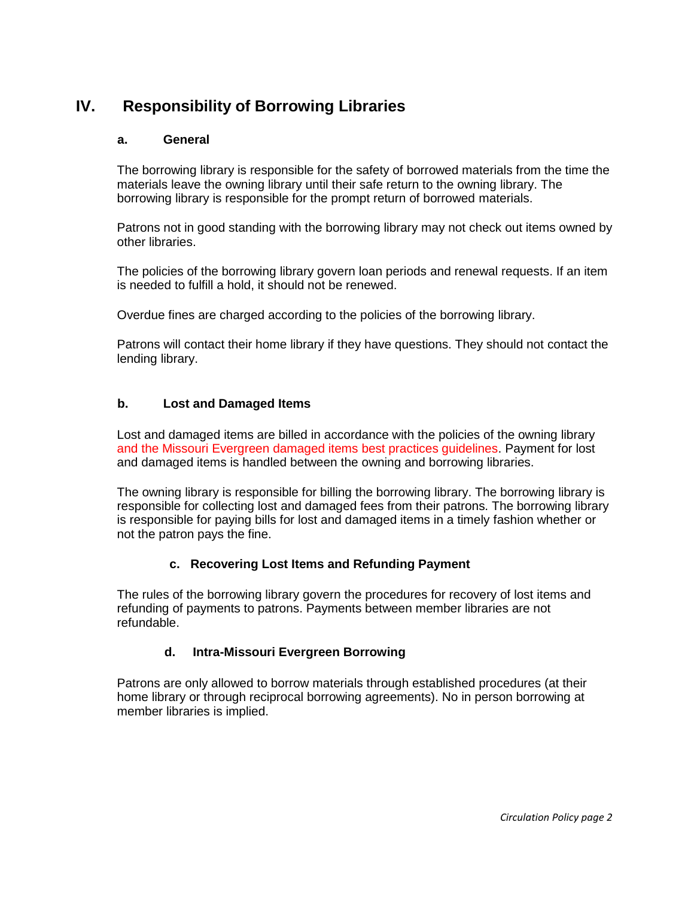# **IV. Responsibility of Borrowing Libraries**

#### **a. General**

The borrowing library is responsible for the safety of borrowed materials from the time the materials leave the owning library until their safe return to the owning library. The borrowing library is responsible for the prompt return of borrowed materials.

Patrons not in good standing with the borrowing library may not check out items owned by other libraries.

The policies of the borrowing library govern loan periods and renewal requests. If an item is needed to fulfill a hold, it should not be renewed.

Overdue fines are charged according to the policies of the borrowing library.

Patrons will contact their home library if they have questions. They should not contact the lending library.

#### **b. Lost and Damaged Items**

Lost and damaged items are billed in accordance with the policies of the owning library and the Missouri Evergreen damaged items best practices guidelines. Payment for lost and damaged items is handled between the owning and borrowing libraries.

The owning library is responsible for billing the borrowing library. The borrowing library is responsible for collecting lost and damaged fees from their patrons. The borrowing library is responsible for paying bills for lost and damaged items in a timely fashion whether or not the patron pays the fine.

#### **c. Recovering Lost Items and Refunding Payment**

The rules of the borrowing library govern the procedures for recovery of lost items and refunding of payments to patrons. Payments between member libraries are not refundable.

#### **d. Intra-Missouri Evergreen Borrowing**

Patrons are only allowed to borrow materials through established procedures (at their home library or through reciprocal borrowing agreements). No in person borrowing at member libraries is implied.